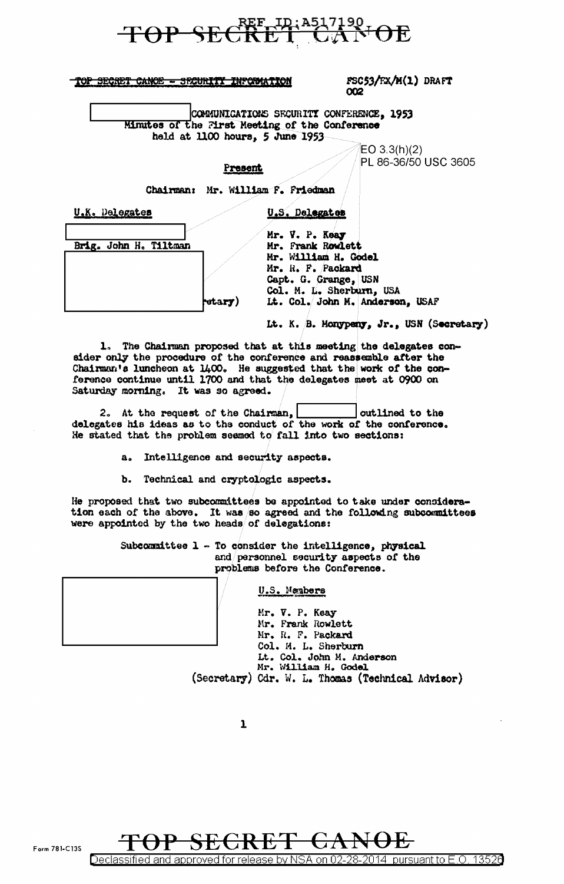

|  |  | MAD ADAADM ALUAN - ADAINSME WIJAPULLMEAI     |  |
|--|--|----------------------------------------------|--|
|  |  | The problem over - property the contribution |  |
|  |  |                                              |  |

FSC53/FX/M(1) DRAFT 002

COMMUNICATIONS SECURITY CONFERENCE, 1953 Minutes of the First Meeting of the Conference held at 1100 hours, 5 June 1953

> $EO 3.3(h)(2)$ PL 86-36/50 USC 3605

Chairman: Mr. William F. Friedman

Present

U.K. Delegates

U.S. Delegates

|  | retary)               |
|--|-----------------------|
|  | Brig. John H. Tiltman |

Mr. V. P. Keay Mr. Frank Rowlett Mr. William H. Godel Mr. R. F. Packard Capt. G. Grange, USN Col. M. L. Sherburn, USA It. Col. John M. Anderson, USAF

Lt. K. B. Monypeny, Jr., USN (Secretary)

1. The Chairman proposed that at this meeting the delegates consider only the procedure of the conference and reassemble after the Chairman's luncheon at 1400. He suggested that the work of the conference continue until 1700 and that the delegates meet at 0900 on Saturday morning. It was so agreed.

2. At the request of the Chairman, outlined to the delegates his ideas as to the conduct of the work of the conference. He stated that the problem seemed to fall into two sections:

> Intelligence and security aspects.  $a<sub>a</sub>$

> Ъ. Technical and cryptologic aspects.

He proposed that two subcommittees be appointed to take under consideration each of the above. It was so agreed and the following subcommittees were appointed by the two heads of delegations:

> Subcommittee 1 - To consider the intelligence, physical and personnel security aspects of the problems before the Conference.

## U.S. Members

Mr. V. P. Keay Mr. Frank Rowlett Mr. R. F. Packard Col. M. L. Sherburn Lt. Col. John M. Anderson<br>Mr. William H. Godel (Secretary) Cdr. W. L. Thomas (Technical Advisor)



<u>sified and approved for release by NSA on 02-</u> <u>2014 pursuant to E.O. 13526</u> 28.